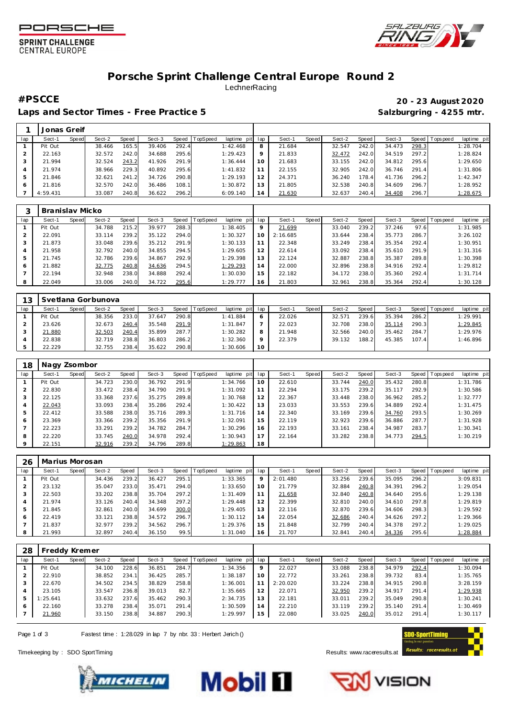





# **Porsche Sprint Challenge Central Europe Round 2 LechnerRacing**

Laps and Sector Times - Free Practice 5 **Salzburgring - 4255 mtr.** And Salzburgring - 4255 mtr.

# **#PSCCE 20 - 23 August 2020**

|     | Jonas Greif |       |        |       |        |         |                 |             |         |        |       |        |       |        |       |                |             |
|-----|-------------|-------|--------|-------|--------|---------|-----------------|-------------|---------|--------|-------|--------|-------|--------|-------|----------------|-------------|
| lap | Sect-1      | Speed | Sect-2 | Speed | Sect-3 | Speed T | <b>TopSpeed</b> | laptime pit | lap     | Sect-1 | Speed | Sect-2 | Speed | Sect-3 |       | Speed Topspeed | laptime pit |
|     | Pit Out     |       | 38.466 | 165.5 | 39.406 | 292.4   |                 | 1:42.468    | 8       | 21.684 |       | 32.547 | 242.0 | 34.473 | 298.3 |                | 1:28.704    |
|     | 22.163      |       | 32.572 | 242.0 | 34.688 | 295.6   |                 | 1:29.423    | $\circ$ | 21.833 |       | 32.472 | 242.0 | 34.519 | 297.2 |                | 1:28.824    |
|     | 21.994      |       | 32.524 | 243.2 | 41.926 | 291.9   |                 | 1:36.444    | 10      | 21.683 |       | 33.155 | 242.0 | 34.812 | 295.6 |                | 1:29.650    |
|     | 21.974      |       | 38.966 | 229.3 | 40.892 | 295.6   |                 | 1:41.832    |         | 22.155 |       | 32.905 | 242.0 | 36.746 | 291.4 |                | 1:31.806    |
|     | 21.846      |       | 32.621 | 241.2 | 34.726 | 290.8   |                 | 1:29.193    |         | 24.371 |       | 36.240 | 178.4 | 41.736 | 296.2 |                | 1:42.347    |
|     | 21.816      |       | 32.570 | 242.0 | 36.486 | 108.1   |                 | 1:30.872    |         | 21.805 |       | 32.538 | 240.8 | 34.609 | 296.7 |                | 1:28.952    |
|     | 4:59.431    |       | 33.087 | 240.8 | 36.622 | 296.2   |                 | 6:09.140    | 14      | 21.630 |       | 32.637 | 240.4 | 34.408 | 296.7 |                | 1:28.675    |

|     | Branislav Micko |       |        |       |        |       |                 |             |         |          |       |        |       |        |       |           |             |
|-----|-----------------|-------|--------|-------|--------|-------|-----------------|-------------|---------|----------|-------|--------|-------|--------|-------|-----------|-------------|
| lap | Sect-1          | Speed | Sect-2 | Speed | Sect-3 | Speed | <b>TopSpeed</b> | laptime pit | lap     | Sect-1   | Speed | Sect-2 | Speed | Sect-3 | Speed | Tops peed | laptime pit |
|     | Pit Out         |       | 34.788 | 215.2 | 39.977 | 288.3 |                 | 1:38.405    | $\circ$ | 21.699   |       | 33.040 | 239.2 | 37.246 | 97.6  |           | 1:31.985    |
|     | 22.091          |       | 33.114 | 239.2 | 35.122 | 294.0 |                 | 1:30.327    | 1 C     | 2:16.685 |       | 33.644 | 238.4 | 35.773 | 286.7 |           | 3:26.102    |
| 3   | 21.873          |       | 33.048 | 239.6 | 35.212 | 291.9 |                 | 1:30.133    |         | 22.348   |       | 33.249 | 238.4 | 35.354 | 292.4 |           | 1:30.951    |
| 4   | 21.958          |       | 32.792 | 240.0 | 34.855 | 294.5 |                 | 1:29.605    | 12      | 22.614   |       | 33.092 | 238.4 | 35.610 | 291.9 |           | 1:31.316    |
| 5   | 21.745          |       | 32.786 | 239.6 | 34.867 | 292.9 |                 | 1:29.398    | 13      | 22.124   |       | 32.887 | 238.8 | 35.387 | 289.8 |           | 1:30.398    |
| 6   | 21.882          |       | 32.775 | 240.8 | 34.636 | 294.5 |                 | 1:29.293    | 14      | 22,000   |       | 32.896 | 238.8 | 34.916 | 292.4 |           | 1:29.812    |
|     | 22.194          |       | 32.948 | 238.0 | 34.888 | 292.4 |                 | 1:30.030    | 15      | 22.182   |       | 34.172 | 238.0 | 35.360 | 292.4 |           | 1:31.714    |
| 8   | 22.049          |       | 33.006 | 240.0 | 34.722 | 295.6 |                 | 1:29.777    | 16      | 21.803   |       | 32.961 | 238.8 | 35.364 | 292.4 |           | 1:30.128    |

| 13  |         |       | Svetlana Gorbunova |       |        |       |                |             |         |        |       |        |       |        |       |          |             |  |
|-----|---------|-------|--------------------|-------|--------|-------|----------------|-------------|---------|--------|-------|--------|-------|--------|-------|----------|-------------|--|
| lap | Sect-′  | Speed | Sect-2             | Speed | Sect-3 |       | Speed TopSpeed | laptime pit | lap     | Sect-  | Speed | Sect-2 | Speed | Sect-3 | Speed | Topspeed | laptime pit |  |
|     | Pit Out |       | 38.356             | 233.0 | 37.647 | 290.8 |                | 1:41.884    | O       | 22.026 |       | 32.57' | 239.6 | 35.394 | 286.2 |          | 1:29.991    |  |
|     | 23.626  |       | 32.673             | 240.4 | 35.548 | 291.9 |                | 1:31.847    |         | 22.023 |       | 32.708 | 238.0 | 35.114 | 290.3 |          | 1:29.845    |  |
|     | 21.880  |       | 32.503             | 240.4 | 35.899 | 287.7 |                | 1:30.282    | 8       | 21.948 |       | 32.566 | 240.0 | 35.462 | 284.7 |          | 1:29.976    |  |
|     | 22.838  |       | 32.719             | 238.8 | 36.803 | 286.2 |                | 1:32.360    | $\circ$ | 22.379 |       | 39.132 | 188.2 | 45.385 | 107.4 |          | 1:46.896    |  |
|     | 22.229  |       | 32.755             | 238.4 | 35.622 | 290.8 |                | 1:30.606    | 10      |        |       |        |       |        |       |          |             |  |

| 18      | Nagy Zsombor |       |        |       |        |       |                 |             |     |        |       |        |       |        |       |            |             |
|---------|--------------|-------|--------|-------|--------|-------|-----------------|-------------|-----|--------|-------|--------|-------|--------|-------|------------|-------------|
| lap     | Sect-1       | Speed | Sect-2 | Speed | Sect-3 | Speed | <b>TopSpeed</b> | laptime pit | lap | Sect-1 | Speed | Sect-2 | Speed | Sect-3 | Speed | Tops pee d | laptime pit |
|         | Pit Out      |       | 34.723 | 230.0 | 36.792 | 291.9 |                 | 1:34.766    | 10  | 22.610 |       | 33.744 | 240.0 | 35.432 | 280.8 |            | 1:31.786    |
|         | 22.830       |       | 33.472 | 238.4 | 34.790 | 291.9 |                 | 1:31.092    | 11  | 22.294 |       | 33.175 | 239.2 | 35.117 | 292.9 |            | 1:30.586    |
| 3       | 22.125       |       | 33.368 | 237.6 | 35.275 | 289.8 |                 | 1:30.768    | 12  | 22.367 |       | 33.448 | 238.0 | 36.962 | 285.2 |            | 1:32.777    |
| 4       | 22.043       |       | 33.093 | 238.4 | 35.286 | 292.4 |                 | 1:30.422    | 13  | 23.033 |       | 33.553 | 239.6 | 34.889 | 292.4 |            | 1:31.475    |
| 5       | 22.412       |       | 33.588 | 238.0 | 35.716 | 289.3 |                 | 1:31.716    | 14  | 22.340 |       | 33.169 | 239.6 | 34.760 | 293.5 |            | 1:30.269    |
| 6       | 23.369       |       | 33.366 | 239.2 | 35.356 | 291.9 |                 | 1:32.091    | 15  | 22.119 |       | 32.923 | 239.6 | 36.886 | 287.7 |            | 1:31.928    |
|         | 22.223       |       | 33.291 | 239.2 | 34.782 | 284.7 |                 | 1:30.296    | 16  | 22.193 |       | 33.161 | 238.4 | 34.987 | 283.7 |            | 1:30.341    |
| 8       | 22.220       |       | 33.745 | 240.0 | 34.978 | 292.4 |                 | 1:30.943    | 17  | 22.164 |       | 33.282 | 238.8 | 34.773 | 294.5 |            | 1:30.219    |
| $\circ$ | 22.151       |       | 32.916 | 239.2 | 34.796 | 289.8 |                 | 1:29.863    | 18  |        |       |        |       |        |       |            |             |

| 26  | Marius Morosan |       |        |       |        |       |                 |                |         |          |       |        |       |        |       |                 |             |
|-----|----------------|-------|--------|-------|--------|-------|-----------------|----------------|---------|----------|-------|--------|-------|--------|-------|-----------------|-------------|
| lap | Sect-1         | Speed | Sect-2 | Speed | Sect-3 | Speed | <b>TopSpeed</b> | laptime<br>pit | lap     | Sect-1   | Speed | Sect-2 | Speed | Sect-3 |       | Speed Tops peed | laptime pit |
|     | Pit Out        |       | 34.436 | 239.2 | 36.427 | 295.1 |                 | 1:33.365       | $\circ$ | 2:01.480 |       | 33.256 | 239.6 | 35.095 | 296.2 |                 | 3:09.831    |
| 2   | 23.132         |       | 35.047 | 233.0 | 35.471 | 294.0 |                 | 1:33.650       | 10      | 21.779   |       | 32.884 | 240.8 | 34.391 | 296.2 |                 | 1:29.054    |
| 3   | 22.503         |       | 33.202 | 238.8 | 35.704 | 297.2 |                 | 1:31.409       |         | 21.658   |       | 32.840 | 240.8 | 34.640 | 295.6 |                 | 1:29.138    |
| 4   | 21.974         |       | 33.126 | 240.4 | 34.348 | 297.2 |                 | 1:29.448       | 12      | 22.399   |       | 32.810 | 240.0 | 34.610 | 297.8 |                 | 1:29.819    |
| 5   | 21.845         |       | 32.861 | 240.0 | 34.699 | 300.0 |                 | 1:29.405       | 13      | 22.116   |       | 32.870 | 239.6 | 34.606 | 298.3 |                 | 1:29.592    |
| 6   | 22.419         |       | 33.121 | 238.8 | 34.572 | 296.7 |                 | 1:30.112       | 14      | 22.054   |       | 32.686 | 240.4 | 34.626 | 297.2 |                 | 1:29.366    |
|     | 21.837         |       | 32.977 | 239.2 | 34.562 | 296.7 |                 | 1:29.376       | 15      | 21.848   |       | 32.799 | 240.4 | 34.378 | 297.2 |                 | 1:29.025    |
| 8   | 21.993         |       | 32.897 | 240.4 | 36.150 | 99.5  |                 | 1:31.040       | 16      | 21.707   |       | 32.841 | 240.4 | 34.336 | 295.6 |                 | 1:28.884    |

| 28  |          | reddy Kremer |        |       |        |       |                  |             |                 |          |       |        |       |        |       |           |             |
|-----|----------|--------------|--------|-------|--------|-------|------------------|-------------|-----------------|----------|-------|--------|-------|--------|-------|-----------|-------------|
| lap | Sect-1   | Speed        | Sect-2 | Speed | Sect-3 |       | Speed   TopSpeed | laptime pit | lap             | Sect-1   | Speed | Sect-2 | Speed | Sect-3 | Speed | Tops peed | laptime pit |
|     | Pit Out  |              | 34.100 | 228.6 | 36.851 | 284.7 |                  | 1:34.356    | $\circ$         | 22.027   |       | 33.088 | 238.8 | 34.979 | 292.4 |           | 1:30.094    |
|     | 22.910   |              | 38.852 | 234.1 | 36.425 | 285.7 |                  | 1:38.187    | 10 <sup>°</sup> | 22.772   |       | 33.261 | 238.8 | 39.732 | 83.4  |           | 1:35.765    |
| 3   | 22.670   |              | 34.502 | 234.5 | 38.829 | 258.8 |                  | 1:36.001    | 11              | 2:20.020 |       | 33.224 | 238.8 | 34.915 | 290.8 |           | 3:28.159    |
|     | 23.105   |              | 33.547 | 236.8 | 39.013 | 82.7  |                  | 1:35.665    | 12              | 22.071   |       | 32.950 | 239.2 | 34.917 | 291.4 |           | 1:29.938    |
| 5   | : 25.641 |              | 33.632 | 237.6 | 35.462 | 290.3 |                  | 2:34.735    | 13              | 22.181   |       | 33.011 | 239.2 | 35.049 | 290.8 |           | 1:30.241    |
| 6   | 22.160   |              | 33.278 | 238.4 | 35.071 | 291.4 |                  | 1:30.509    | 14              | 22.210   |       | 33.119 | 239.2 | 35.140 | 291.4 |           | 1:30.469    |
|     | 21.960   |              | 33.150 | 238.8 | 34.887 | 290.3 |                  | 1:29.997    | 15              | 22.080   |       | 33.025 | 240.0 | 35.012 | 291.4 |           | 1:30.117    |
|     |          |              |        |       |        |       |                  |             |                 |          |       |        |       |        |       |           |             |

Page 1 of 3 Fastest time : 1:28.029 in lap 7 by nbr. 33 : Herbert Jerich ()

Timekeeping by : SDO SportTiming **Results: WWW.raceresults.at** 







VISION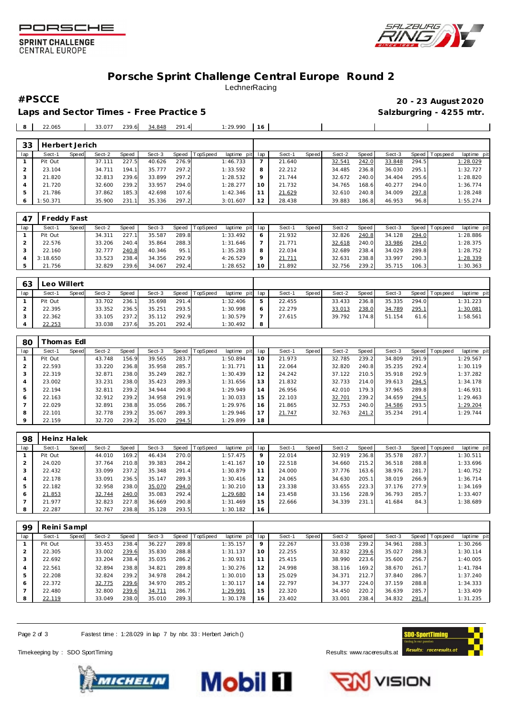



#### **SPRINT CHALLENGE CENTRAL EUROPE**

### **Porsche Sprint Challenge Central Europe Round 2** LechnerRacing

Laps and Sector Times - Free Practice 5 **Salzburgring - 4255 mtr.** And Salzburgring - 4255 mtr.

 21.786 37.862 185.3 42.698 107.6 1:42.346 1:50.371 35.900 231.1 35.336 297.2 3:01.607

**#PSCCE 20 - 23 August 2020**

 21.629 32.610 240.8 34.009 297.8 1:28.248 28.438 39.883 186.8 46.953 96.8 1:55.274

| 8   | 22.065         |       | 33.077 | 239.6 | 34.848 | 291.4 |          | 1:29.990    | 16  |        |              |        |       |        |       |                 |             |
|-----|----------------|-------|--------|-------|--------|-------|----------|-------------|-----|--------|--------------|--------|-------|--------|-------|-----------------|-------------|
| 33  | Herbert Jerich |       |        |       |        |       |          |             |     |        |              |        |       |        |       |                 |             |
| lap | Sect-1         | Speed | Sect-2 | Speed | Sect-3 | Speed | TopSpeed | laptime pit | lap | Sect-1 | <b>Speed</b> | Sect-2 | Speed | Sect-3 |       | Speed Tops peed | laptime pit |
|     | Pit Out        |       | 37.111 | 227.5 | 40.626 | 276.9 |          | 1:46.733    |     | 21.640 |              | 32.541 | 242.0 | 33.848 | 294.5 |                 | 1:28.029    |
| ∠   | 23.104         |       | 34.711 | 194.1 | 35.777 | 297.2 |          | 1:33.592    |     | 22.212 |              | 34.485 | 236.8 | 36.030 | 295.1 |                 | 1:32.727    |
|     | 21.820         |       | 32.813 | 239.6 | 33.899 | 297.2 |          | 1:28.532    |     | 21.744 |              | 32.672 | 240.0 | 34.404 | 295.6 |                 | 1:28.820    |
| 4   | 21.720         |       | 32.600 | 239.2 | 33.957 | 294.0 |          | 1:28.277    | 10  | 21.732 |              | 34.765 | 168.6 | 40.277 | 294.0 |                 | 1:36.774    |

| 47  | Freddy Fast |       |        |       |        |       |                |                 |              |        |       |        |       |        |       |                 |             |
|-----|-------------|-------|--------|-------|--------|-------|----------------|-----------------|--------------|--------|-------|--------|-------|--------|-------|-----------------|-------------|
| lap | Sect-1      | Speed | Sect-2 | Speed | Sect-3 |       | Speed TopSpeed | laptime pit lap |              | Sect-1 | Speed | Sect-2 | Speed | Sect-3 |       | Speed Tops peed | laptime pit |
|     | Pit Out     |       | 34.311 | 227.1 | 35.587 | 289.8 |                | 1:33.492        | <sup>6</sup> | 21.932 |       | 32.826 | 240.8 | 34.128 | 294.0 |                 | 1:28.886    |
|     | 22.576      |       | 33.206 | 240.4 | 35.864 | 288.3 |                | 1:31.646        |              | 21.771 |       | 32.618 | 240.0 | 33.986 | 294.0 |                 | 1:28.375    |
|     | 22.160      |       | 32.777 | 240.8 | 40.346 | 95.1  |                | 1:35.283        | 8            | 22.034 |       | 32.689 | 238.4 | 34.029 | 289.8 |                 | 1:28.752    |
|     | 3:18.650    |       | 33.523 | 238.4 | 34.356 | 292.9 |                | 4:26.529        |              | 21.711 |       | 32.631 | 238.8 | 33.997 | 290.3 |                 | 1:28.339    |
|     | 21.756      |       | 32.829 | 239.6 | 34.067 | 292.4 |                | 1:28.652        | 10           | 21.892 |       | 32.756 | 239.2 | 35.715 | 106.3 |                 | 1:30.363    |

| 63  | Leo Willert |       |        |       |        |       |                |             |     |        |              |        |       |        |       |            |                 |
|-----|-------------|-------|--------|-------|--------|-------|----------------|-------------|-----|--------|--------------|--------|-------|--------|-------|------------|-----------------|
| lap | Sect-1      | Speed | Sect-2 | Speed | Sect-3 |       | Speed TopSpeed | laptime pit | lap | Sect-1 | <b>Speed</b> | Sect-2 | Speed | Sect-3 | Speed | l Topspeed | laptime pit     |
|     | Pit Out     |       | 33.702 | 236.1 | 35.698 | 291.4 |                | 1:32.406    | ь   | 22.455 |              | 33.433 | 236.8 | 35.335 | 294.0 |            | 1:31.223        |
|     | 22.395      |       | 33.352 | 236.5 | 35.251 | 293.5 |                | 1:30.998    | O   | 22.279 |              | 33.013 | 238.0 | 34.789 | 295.1 |            | <u>1:30.081</u> |
|     | 22.362      |       | 33.105 | 237.2 | 35.112 | 292.9 |                | 1:30.579    |     | 27.615 |              | 39.792 | 174.8 | 51.154 | 61.6  |            | 1:58.561        |
|     | 22.253      |       | 33.038 | 237.6 | 35.201 | 292.4 |                | 1:30.492    | 8   |        |              |        |       |        |       |            |                 |

| 80             |         | homas Edl    |        |       |        |       |                 |             |     |        |       |        |       |        |       |                   |             |
|----------------|---------|--------------|--------|-------|--------|-------|-----------------|-------------|-----|--------|-------|--------|-------|--------|-------|-------------------|-------------|
| lap            | Sect-1  | <b>Speed</b> | Sect-2 | Speed | Sect-3 | Speed | <b>TopSpeed</b> | laptime pit | lap | Sect-1 | Speed | Sect-2 | Speed | Sect-3 |       | Speed   Tops peed | laptime pit |
|                | Pit Out |              | 43.748 | 156.9 | 39.565 | 283.7 |                 | 1:50.894    | 10  | 21.973 |       | 32.785 | 239.2 | 34.809 | 291.9 |                   | 1:29.567    |
| $\overline{2}$ | 22.593  |              | 33.220 | 236.8 | 35.958 | 285.7 |                 | 1:31.771    | 11  | 22.064 |       | 32.820 | 240.8 | 35.235 | 292.4 |                   | 1:30.119    |
| 3              | 22.319  |              | 32.871 | 238.0 | 35.249 | 282.7 |                 | 1:30.439    | 12  | 24.242 |       | 37.122 | 210.5 | 35.918 | 292.9 |                   | 1:37.282    |
| 4              | 23.002  |              | 33.231 | 238.0 | 35.423 | 289.3 |                 | 1:31.656    | 13  | 21.832 |       | 32.733 | 214.0 | 39.613 | 294.5 |                   | 1:34.178    |
| 5              | 22.194  |              | 32.811 | 239.2 | 34.944 | 290.8 |                 | 1:29.949    | 14  | 26.956 |       | 42.010 | 179.3 | 37.965 | 289.8 |                   | 1:46.931    |
| 6              | 22.163  |              | 32.912 | 239.2 | 34.958 | 291.9 |                 | 1:30.033    | 15  | 22.103 |       | 32.701 | 239.2 | 34.659 | 294.5 |                   | 1:29.463    |
|                | 22.029  |              | 32.891 | 238.8 | 35.056 | 286.7 |                 | 1:29.976    | 16  | 21.865 |       | 32.753 | 240.0 | 34.586 | 293.5 |                   | 1:29.204    |
| 8              | 22.101  |              | 32.778 | 239.2 | 35.067 | 289.3 |                 | 1:29.946    |     | 21.747 |       | 32.763 | 241.2 | 35.234 | 291.4 |                   | 1:29.744    |
| $\circ$        | 22.159  |              | 32.720 | 239.2 | 35.020 | 294.5 |                 | 1:29.899    | 18  |        |       |        |       |        |       |                   |             |

| 98  | Heinz Halek |       |        |       |        |       |          |             |         |        |       |        |       |        |       |                 |             |
|-----|-------------|-------|--------|-------|--------|-------|----------|-------------|---------|--------|-------|--------|-------|--------|-------|-----------------|-------------|
| lap | Sect-1      | Speed | Sect-2 | Speed | Sect-3 | Speed | TopSpeed | laptime pit | lap     | Sect-1 | Speed | Sect-2 | Speed | Sect-3 |       | Speed Tops peed | laptime pit |
|     | Pit Out     |       | 44.010 | 169.2 | 46.434 | 270.0 |          | 1:57.475    | $\circ$ | 22.014 |       | 32.919 | 236.8 | 35.578 | 287.7 |                 | 1:30.511    |
|     | 24.020      |       | 37.764 | 210.8 | 39.383 | 284.2 |          | 1:41.167    | 10      | 22.518 |       | 34.660 | 215.2 | 36.518 | 288.8 |                 | 1:33.696    |
| 3   | 22.432      |       | 33.099 | 237.2 | 35.348 | 291.4 |          | 1:30.879    | 11      | 24.000 |       | 37.776 | 163.6 | 38.976 | 281.7 |                 | 1:40.752    |
| 4   | 22.178      |       | 33.091 | 236.5 | 35.147 | 289.3 |          | 1:30.416    | 12      | 24.065 |       | 34.630 | 205.1 | 38.019 | 266.9 |                 | 1:36.714    |
| 5   | 22.182      |       | 32.958 | 238.0 | 35.070 | 294.0 |          | 1:30.210    | 13      | 23.338 |       | 33.655 | 223.3 | 37.176 | 277.9 |                 | 1:34.169    |
| 6   | 21.853      |       | 32.744 | 240.0 | 35.083 | 292.4 |          | 1:29.680    | 14      | 23.458 |       | 33.156 | 228.9 | 36.793 | 285.7 |                 | 1:33.407    |
|     | 21.977      |       | 32.823 | 227.8 | 36.669 | 290.8 |          | 1:31.469    | 15      | 22.666 |       | 34.339 | 231.1 | 41.684 | 84.3  |                 | 1:38.689    |
| 8   | 22.287      |       | 32.767 | 238.8 | 35.128 | 293.5 |          | 1:30.182    | 16      |        |       |        |       |        |       |                 |             |

| 99  | Reini Sampl |       |        |       |        |       |                |             |     |        |       |        |       |        |       |           |             |
|-----|-------------|-------|--------|-------|--------|-------|----------------|-------------|-----|--------|-------|--------|-------|--------|-------|-----------|-------------|
| lap | Sect-1      | Speed | Sect-2 | Speed | Sect-3 |       | Speed TopSpeed | laptime pit | lap | Sect-1 | Speed | Sect-2 | Speed | Sect-3 | Speed | Tops peed | laptime pit |
|     | Pit Out     |       | 33.453 | 238.4 | 36.227 | 289.8 |                | 1:35.157    | 9   | 22.267 |       | 33.038 | 239.2 | 34.961 | 288.3 |           | 1:30.266    |
|     | 22.305      |       | 33.002 | 239.6 | 35.830 | 288.8 |                | 1:31.137    | 10  | 22.255 |       | 32.832 | 239.6 | 35.027 | 288.3 |           | 1:30.114    |
| 3   | 22.692      |       | 33.204 | 238.4 | 35.035 | 286.2 |                | 1:30.931    | 11  | 25.415 |       | 38.990 | 223.6 | 35.600 | 256.7 |           | 1:40.005    |
| 4   | 22.561      |       | 32.894 | 238.8 | 34.821 | 289.8 |                | 1:30.276    | 12  | 24.998 |       | 38.116 | 169.2 | 38.670 | 261.7 |           | 1:41.784    |
| 5   | 22.208      |       | 32.824 | 239.2 | 34.978 | 284.2 |                | 1:30.010    | 13  | 25.029 |       | 34.371 | 212.7 | 37.840 | 286.7 |           | 1:37.240    |
| 6   | 22.372      |       | 32.775 | 239.6 | 34.970 | 285.2 |                | 1:30.117    | 14  | 22.797 |       | 34.377 | 224.0 | 37.159 | 288.8 |           | 1:34.333    |
|     | 22.480      |       | 32.800 | 239.6 | 34.711 | 286.7 |                | 1:29.991    | 15  | 22.320 |       | 34.450 | 220.2 | 36.639 | 285.7 |           | 1:33.409    |
| 8   | 22.119      |       | 33.049 | 238.0 | 35.010 | 289.3 |                | 1:30.178    | 16  | 23.402 |       | 33.001 | 238.4 | 34.832 | 291.4 |           | 1:31.235    |

Page 2 of 3 Fastest time : 1:28.029 in lap 7 by nbr. 33 : Herbert Jerich ()

Timekeeping by : SDO SportTiming **Results:**<www.raceresults.at>







**VISION**